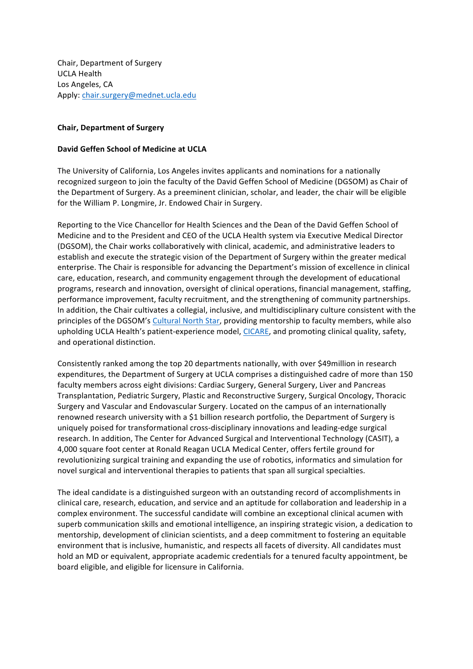Chair, Department of Surgery **UCLA Health** Los Angeles, CA Apply: chair.surgery@mednet.ucla.edu

## **Chair, Department of Surgery**

## **David Geffen School of Medicine at UCLA**

The University of California, Los Angeles invites applicants and nominations for a nationally recognized surgeon to join the faculty of the David Geffen School of Medicine (DGSOM) as Chair of the Department of Surgery. As a preeminent clinician, scholar, and leader, the chair will be eligible for the William P. Longmire, Jr. Endowed Chair in Surgery.

Reporting to the Vice Chancellor for Health Sciences and the Dean of the David Geffen School of Medicine and to the President and CEO of the UCLA Health system via Executive Medical Director (DGSOM), the Chair works collaboratively with clinical, academic, and administrative leaders to establish and execute the strategic vision of the Department of Surgery within the greater medical enterprise. The Chair is responsible for advancing the Department's mission of excellence in clinical care, education, research, and community engagement through the development of educational programs, research and innovation, oversight of clinical operations, financial management, staffing, performance improvement, faculty recruitment, and the strengthening of community partnerships. In addition, the Chair cultivates a collegial, inclusive, and multidisciplinary culture consistent with the principles of the DGSOM's Cultural North Star, providing mentorship to faculty members, while also upholding UCLA Health's patient-experience model, CICARE, and promoting clinical quality, safety, and operational distinction.

Consistently ranked among the top 20 departments nationally, with over \$49million in research expenditures, the Department of Surgery at UCLA comprises a distinguished cadre of more than 150 faculty members across eight divisions: Cardiac Surgery, General Surgery, Liver and Pancreas Transplantation, Pediatric Surgery, Plastic and Reconstructive Surgery, Surgical Oncology, Thoracic Surgery and Vascular and Endovascular Surgery. Located on the campus of an internationally renowned research university with a \$1 billion research portfolio, the Department of Surgery is uniquely poised for transformational cross-disciplinary innovations and leading-edge surgical research. In addition, The Center for Advanced Surgical and Interventional Technology (CASIT), a 4,000 square foot center at Ronald Reagan UCLA Medical Center, offers fertile ground for revolutionizing surgical training and expanding the use of robotics, informatics and simulation for novel surgical and interventional therapies to patients that span all surgical specialties.

The ideal candidate is a distinguished surgeon with an outstanding record of accomplishments in clinical care, research, education, and service and an aptitude for collaboration and leadership in a complex environment. The successful candidate will combine an exceptional clinical acumen with superb communication skills and emotional intelligence, an inspiring strategic vision, a dedication to mentorship, development of clinician scientists, and a deep commitment to fostering an equitable environment that is inclusive, humanistic, and respects all facets of diversity. All candidates must hold an MD or equivalent, appropriate academic credentials for a tenured faculty appointment, be board eligible, and eligible for licensure in California.